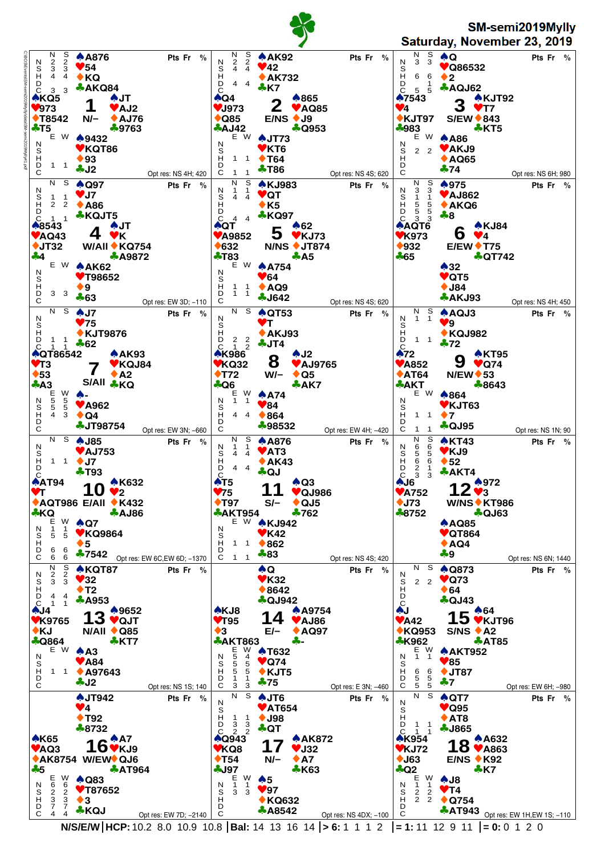